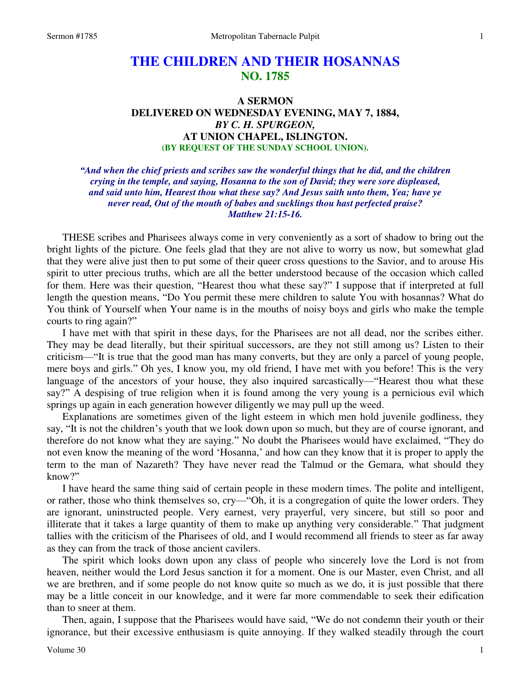## **THE CHILDREN AND THEIR HOSANNAS NO. 1785**

## **A SERMON DELIVERED ON WEDNESDAY EVENING, MAY 7, 1884,**  *BY C. H. SPURGEON,*  **AT UNION CHAPEL, ISLINGTON. (BY REQUEST OF THE SUNDAY SCHOOL UNION).**

*"And when the chief priests and scribes saw the wonderful things that he did, and the children crying in the temple, and saying, Hosanna to the son of David; they were sore displeased, and said unto him, Hearest thou what these say? And Jesus saith unto them, Yea; have ye never read, Out of the mouth of babes and sucklings thou hast perfected praise? Matthew 21:15-16.* 

THESE scribes and Pharisees always come in very conveniently as a sort of shadow to bring out the bright lights of the picture. One feels glad that they are not alive to worry us now, but somewhat glad that they were alive just then to put some of their queer cross questions to the Savior, and to arouse His spirit to utter precious truths, which are all the better understood because of the occasion which called for them. Here was their question, "Hearest thou what these say?" I suppose that if interpreted at full length the question means, "Do You permit these mere children to salute You with hosannas? What do You think of Yourself when Your name is in the mouths of noisy boys and girls who make the temple courts to ring again?"

 I have met with that spirit in these days, for the Pharisees are not all dead, nor the scribes either. They may be dead literally, but their spiritual successors, are they not still among us? Listen to their criticism—"It is true that the good man has many converts, but they are only a parcel of young people, mere boys and girls." Oh yes, I know you, my old friend, I have met with you before! This is the very language of the ancestors of your house, they also inquired sarcastically—"Hearest thou what these say?" A despising of true religion when it is found among the very young is a pernicious evil which springs up again in each generation however diligently we may pull up the weed.

 Explanations are sometimes given of the light esteem in which men hold juvenile godliness, they say, "It is not the children's youth that we look down upon so much, but they are of course ignorant, and therefore do not know what they are saying." No doubt the Pharisees would have exclaimed, "They do not even know the meaning of the word 'Hosanna,' and how can they know that it is proper to apply the term to the man of Nazareth? They have never read the Talmud or the Gemara, what should they know?"

 I have heard the same thing said of certain people in these modern times. The polite and intelligent, or rather, those who think themselves so, cry—"Oh, it is a congregation of quite the lower orders. They are ignorant, uninstructed people. Very earnest, very prayerful, very sincere, but still so poor and illiterate that it takes a large quantity of them to make up anything very considerable." That judgment tallies with the criticism of the Pharisees of old, and I would recommend all friends to steer as far away as they can from the track of those ancient cavilers.

 The spirit which looks down upon any class of people who sincerely love the Lord is not from heaven, neither would the Lord Jesus sanction it for a moment. One is our Master, even Christ, and all we are brethren, and if some people do not know quite so much as we do, it is just possible that there may be a little conceit in our knowledge, and it were far more commendable to seek their edification than to sneer at them.

 Then, again, I suppose that the Pharisees would have said, "We do not condemn their youth or their ignorance, but their excessive enthusiasm is quite annoying. If they walked steadily through the court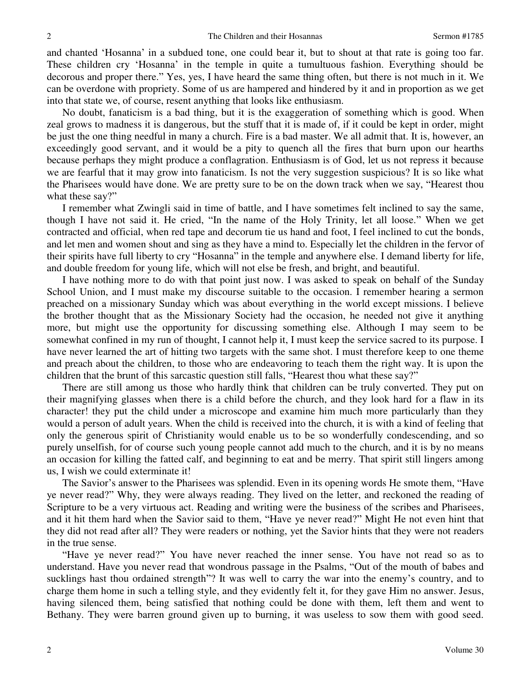and chanted 'Hosanna' in a subdued tone, one could bear it, but to shout at that rate is going too far. These children cry 'Hosanna' in the temple in quite a tumultuous fashion. Everything should be decorous and proper there." Yes, yes, I have heard the same thing often, but there is not much in it. We can be overdone with propriety. Some of us are hampered and hindered by it and in proportion as we get into that state we, of course, resent anything that looks like enthusiasm.

 No doubt, fanaticism is a bad thing, but it is the exaggeration of something which is good. When zeal grows to madness it is dangerous, but the stuff that it is made of, if it could be kept in order, might be just the one thing needful in many a church. Fire is a bad master. We all admit that. It is, however, an exceedingly good servant, and it would be a pity to quench all the fires that burn upon our hearths because perhaps they might produce a conflagration. Enthusiasm is of God, let us not repress it because we are fearful that it may grow into fanaticism. Is not the very suggestion suspicious? It is so like what the Pharisees would have done. We are pretty sure to be on the down track when we say, "Hearest thou what these say?"

 I remember what Zwingli said in time of battle, and I have sometimes felt inclined to say the same, though I have not said it. He cried, "In the name of the Holy Trinity, let all loose." When we get contracted and official, when red tape and decorum tie us hand and foot, I feel inclined to cut the bonds, and let men and women shout and sing as they have a mind to. Especially let the children in the fervor of their spirits have full liberty to cry "Hosanna" in the temple and anywhere else. I demand liberty for life, and double freedom for young life, which will not else be fresh, and bright, and beautiful.

 I have nothing more to do with that point just now. I was asked to speak on behalf of the Sunday School Union, and I must make my discourse suitable to the occasion. I remember hearing a sermon preached on a missionary Sunday which was about everything in the world except missions. I believe the brother thought that as the Missionary Society had the occasion, he needed not give it anything more, but might use the opportunity for discussing something else. Although I may seem to be somewhat confined in my run of thought, I cannot help it, I must keep the service sacred to its purpose. I have never learned the art of hitting two targets with the same shot. I must therefore keep to one theme and preach about the children, to those who are endeavoring to teach them the right way. It is upon the children that the brunt of this sarcastic question still falls, "Hearest thou what these say?"

 There are still among us those who hardly think that children can be truly converted. They put on their magnifying glasses when there is a child before the church, and they look hard for a flaw in its character! they put the child under a microscope and examine him much more particularly than they would a person of adult years. When the child is received into the church, it is with a kind of feeling that only the generous spirit of Christianity would enable us to be so wonderfully condescending, and so purely unselfish, for of course such young people cannot add much to the church, and it is by no means an occasion for killing the fatted calf, and beginning to eat and be merry. That spirit still lingers among us, I wish we could exterminate it!

 The Savior's answer to the Pharisees was splendid. Even in its opening words He smote them, "Have ye never read?" Why, they were always reading. They lived on the letter, and reckoned the reading of Scripture to be a very virtuous act. Reading and writing were the business of the scribes and Pharisees, and it hit them hard when the Savior said to them, "Have ye never read?" Might He not even hint that they did not read after all? They were readers or nothing, yet the Savior hints that they were not readers in the true sense.

"Have ye never read?" You have never reached the inner sense. You have not read so as to understand. Have you never read that wondrous passage in the Psalms, "Out of the mouth of babes and sucklings hast thou ordained strength"? It was well to carry the war into the enemy's country, and to charge them home in such a telling style, and they evidently felt it, for they gave Him no answer. Jesus, having silenced them, being satisfied that nothing could be done with them, left them and went to Bethany. They were barren ground given up to burning, it was useless to sow them with good seed.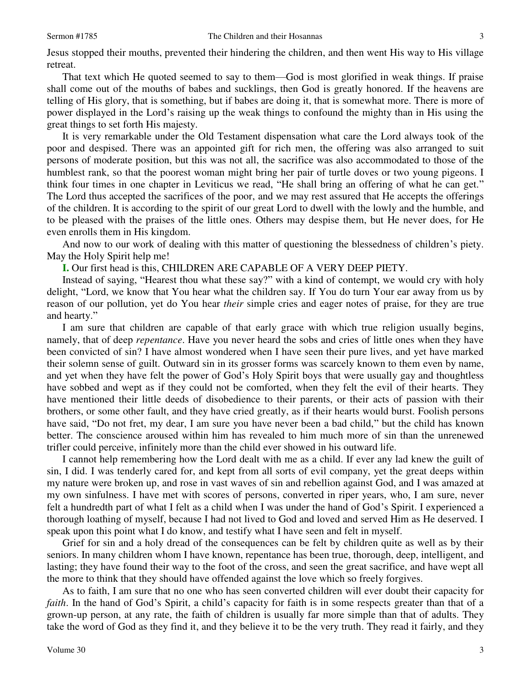retreat.

 That text which He quoted seemed to say to them—God is most glorified in weak things. If praise shall come out of the mouths of babes and sucklings, then God is greatly honored. If the heavens are telling of His glory, that is something, but if babes are doing it, that is somewhat more. There is more of power displayed in the Lord's raising up the weak things to confound the mighty than in His using the great things to set forth His majesty.

 It is very remarkable under the Old Testament dispensation what care the Lord always took of the poor and despised. There was an appointed gift for rich men, the offering was also arranged to suit persons of moderate position, but this was not all, the sacrifice was also accommodated to those of the humblest rank, so that the poorest woman might bring her pair of turtle doves or two young pigeons. I think four times in one chapter in Leviticus we read, "He shall bring an offering of what he can get." The Lord thus accepted the sacrifices of the poor, and we may rest assured that He accepts the offerings of the children. It is according to the spirit of our great Lord to dwell with the lowly and the humble, and to be pleased with the praises of the little ones. Others may despise them, but He never does, for He even enrolls them in His kingdom.

 And now to our work of dealing with this matter of questioning the blessedness of children's piety. May the Holy Spirit help me!

**I.** Our first head is this, CHILDREN ARE CAPABLE OF A VERY DEEP PIETY.

 Instead of saying, "Hearest thou what these say?" with a kind of contempt, we would cry with holy delight, "Lord, we know that You hear what the children say. If You do turn Your ear away from us by reason of our pollution, yet do You hear *their* simple cries and eager notes of praise, for they are true and hearty."

 I am sure that children are capable of that early grace with which true religion usually begins, namely, that of deep *repentance*. Have you never heard the sobs and cries of little ones when they have been convicted of sin? I have almost wondered when I have seen their pure lives, and yet have marked their solemn sense of guilt. Outward sin in its grosser forms was scarcely known to them even by name, and yet when they have felt the power of God's Holy Spirit boys that were usually gay and thoughtless have sobbed and wept as if they could not be comforted, when they felt the evil of their hearts. They have mentioned their little deeds of disobedience to their parents, or their acts of passion with their brothers, or some other fault, and they have cried greatly, as if their hearts would burst. Foolish persons have said, "Do not fret, my dear, I am sure you have never been a bad child," but the child has known better. The conscience aroused within him has revealed to him much more of sin than the unrenewed trifler could perceive, infinitely more than the child ever showed in his outward life.

 I cannot help remembering how the Lord dealt with me as a child. If ever any lad knew the guilt of sin, I did. I was tenderly cared for, and kept from all sorts of evil company, yet the great deeps within my nature were broken up, and rose in vast waves of sin and rebellion against God, and I was amazed at my own sinfulness. I have met with scores of persons, converted in riper years, who, I am sure, never felt a hundredth part of what I felt as a child when I was under the hand of God's Spirit. I experienced a thorough loathing of myself, because I had not lived to God and loved and served Him as He deserved. I speak upon this point what I do know, and testify what I have seen and felt in myself.

 Grief for sin and a holy dread of the consequences can be felt by children quite as well as by their seniors. In many children whom I have known, repentance has been true, thorough, deep, intelligent, and lasting; they have found their way to the foot of the cross, and seen the great sacrifice, and have wept all the more to think that they should have offended against the love which so freely forgives.

 As to faith, I am sure that no one who has seen converted children will ever doubt their capacity for *faith*. In the hand of God's Spirit, a child's capacity for faith is in some respects greater than that of a grown-up person, at any rate, the faith of children is usually far more simple than that of adults. They take the word of God as they find it, and they believe it to be the very truth. They read it fairly, and they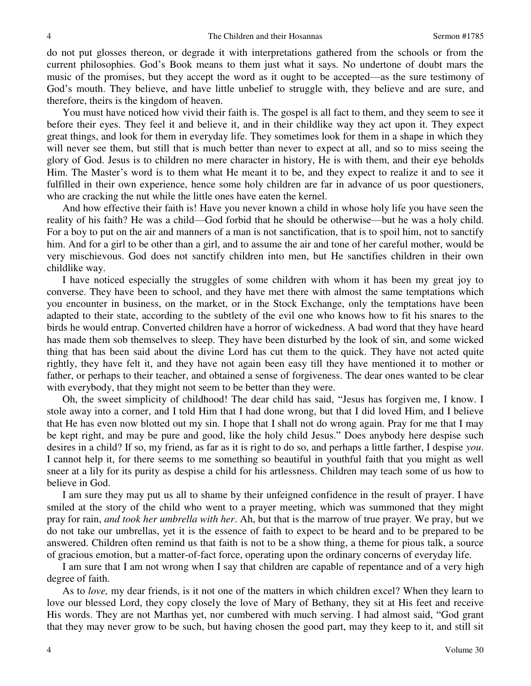do not put glosses thereon, or degrade it with interpretations gathered from the schools or from the current philosophies. God's Book means to them just what it says. No undertone of doubt mars the music of the promises, but they accept the word as it ought to be accepted—as the sure testimony of God's mouth. They believe, and have little unbelief to struggle with, they believe and are sure, and therefore, theirs is the kingdom of heaven.

 You must have noticed how vivid their faith is. The gospel is all fact to them, and they seem to see it before their eyes. They feel it and believe it, and in their childlike way they act upon it. They expect great things, and look for them in everyday life. They sometimes look for them in a shape in which they will never see them, but still that is much better than never to expect at all, and so to miss seeing the glory of God. Jesus is to children no mere character in history, He is with them, and their eye beholds Him. The Master's word is to them what He meant it to be, and they expect to realize it and to see it fulfilled in their own experience, hence some holy children are far in advance of us poor questioners, who are cracking the nut while the little ones have eaten the kernel.

 And how effective their faith is! Have you never known a child in whose holy life you have seen the reality of his faith? He was a child—God forbid that he should be otherwise—but he was a holy child. For a boy to put on the air and manners of a man is not sanctification, that is to spoil him, not to sanctify him. And for a girl to be other than a girl, and to assume the air and tone of her careful mother, would be very mischievous. God does not sanctify children into men, but He sanctifies children in their own childlike way.

 I have noticed especially the struggles of some children with whom it has been my great joy to converse. They have been to school, and they have met there with almost the same temptations which you encounter in business, on the market, or in the Stock Exchange, only the temptations have been adapted to their state, according to the subtlety of the evil one who knows how to fit his snares to the birds he would entrap. Converted children have a horror of wickedness. A bad word that they have heard has made them sob themselves to sleep. They have been disturbed by the look of sin, and some wicked thing that has been said about the divine Lord has cut them to the quick. They have not acted quite rightly, they have felt it, and they have not again been easy till they have mentioned it to mother or father, or perhaps to their teacher, and obtained a sense of forgiveness. The dear ones wanted to be clear with everybody, that they might not seem to be better than they were.

 Oh, the sweet simplicity of childhood! The dear child has said, "Jesus has forgiven me, I know. I stole away into a corner, and I told Him that I had done wrong, but that I did loved Him, and I believe that He has even now blotted out my sin. I hope that I shall not do wrong again. Pray for me that I may be kept right, and may be pure and good, like the holy child Jesus." Does anybody here despise such desires in a child? If so, my friend, as far as it is right to do so, and perhaps a little farther, I despise *you*. I cannot help it, for there seems to me something so beautiful in youthful faith that you might as well sneer at a lily for its purity as despise a child for his artlessness. Children may teach some of us how to believe in God.

 I am sure they may put us all to shame by their unfeigned confidence in the result of prayer. I have smiled at the story of the child who went to a prayer meeting, which was summoned that they might pray for rain, *and took her umbrella with her*. Ah, but that is the marrow of true prayer. We pray, but we do not take our umbrellas, yet it is the essence of faith to expect to be heard and to be prepared to be answered. Children often remind us that faith is not to be a show thing, a theme for pious talk, a source of gracious emotion, but a matter-of-fact force, operating upon the ordinary concerns of everyday life.

 I am sure that I am not wrong when I say that children are capable of repentance and of a very high degree of faith.

 As to *love,* my dear friends, is it not one of the matters in which children excel? When they learn to love our blessed Lord, they copy closely the love of Mary of Bethany, they sit at His feet and receive His words. They are not Marthas yet, nor cumbered with much serving. I had almost said, "God grant that they may never grow to be such, but having chosen the good part, may they keep to it, and still sit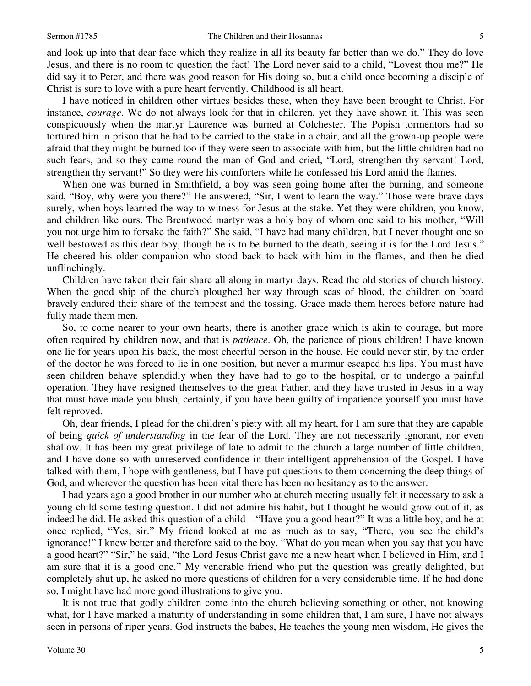and look up into that dear face which they realize in all its beauty far better than we do." They do love Jesus, and there is no room to question the fact! The Lord never said to a child, "Lovest thou me?" He did say it to Peter, and there was good reason for His doing so, but a child once becoming a disciple of Christ is sure to love with a pure heart fervently. Childhood is all heart.

 I have noticed in children other virtues besides these, when they have been brought to Christ. For instance, *courage*. We do not always look for that in children, yet they have shown it. This was seen conspicuously when the martyr Laurence was burned at Colchester. The Popish tormentors had so tortured him in prison that he had to be carried to the stake in a chair, and all the grown-up people were afraid that they might be burned too if they were seen to associate with him, but the little children had no such fears, and so they came round the man of God and cried, "Lord, strengthen thy servant! Lord, strengthen thy servant!" So they were his comforters while he confessed his Lord amid the flames.

 When one was burned in Smithfield, a boy was seen going home after the burning, and someone said, "Boy, why were you there?" He answered, "Sir, I went to learn the way." Those were brave days surely, when boys learned the way to witness for Jesus at the stake. Yet they were children, you know, and children like ours. The Brentwood martyr was a holy boy of whom one said to his mother, "Will you not urge him to forsake the faith?" She said, "I have had many children, but I never thought one so well bestowed as this dear boy, though he is to be burned to the death, seeing it is for the Lord Jesus." He cheered his older companion who stood back to back with him in the flames, and then he died unflinchingly.

 Children have taken their fair share all along in martyr days. Read the old stories of church history. When the good ship of the church ploughed her way through seas of blood, the children on board bravely endured their share of the tempest and the tossing. Grace made them heroes before nature had fully made them men.

 So, to come nearer to your own hearts, there is another grace which is akin to courage, but more often required by children now, and that is *patience*. Oh, the patience of pious children! I have known one lie for years upon his back, the most cheerful person in the house. He could never stir, by the order of the doctor he was forced to lie in one position, but never a murmur escaped his lips. You must have seen children behave splendidly when they have had to go to the hospital, or to undergo a painful operation. They have resigned themselves to the great Father, and they have trusted in Jesus in a way that must have made you blush, certainly, if you have been guilty of impatience yourself you must have felt reproved.

 Oh, dear friends, I plead for the children's piety with all my heart, for I am sure that they are capable of being *quick of understanding* in the fear of the Lord. They are not necessarily ignorant, nor even shallow. It has been my great privilege of late to admit to the church a large number of little children, and I have done so with unreserved confidence in their intelligent apprehension of the Gospel. I have talked with them, I hope with gentleness, but I have put questions to them concerning the deep things of God, and wherever the question has been vital there has been no hesitancy as to the answer.

 I had years ago a good brother in our number who at church meeting usually felt it necessary to ask a young child some testing question. I did not admire his habit, but I thought he would grow out of it, as indeed he did. He asked this question of a child—"Have you a good heart?" It was a little boy, and he at once replied, "Yes, sir." My friend looked at me as much as to say, "There, you see the child's ignorance!" I knew better and therefore said to the boy, "What do you mean when you say that you have a good heart?" "Sir," he said, "the Lord Jesus Christ gave me a new heart when I believed in Him, and I am sure that it is a good one." My venerable friend who put the question was greatly delighted, but completely shut up, he asked no more questions of children for a very considerable time. If he had done so, I might have had more good illustrations to give you.

 It is not true that godly children come into the church believing something or other, not knowing what, for I have marked a maturity of understanding in some children that, I am sure, I have not always seen in persons of riper years. God instructs the babes, He teaches the young men wisdom, He gives the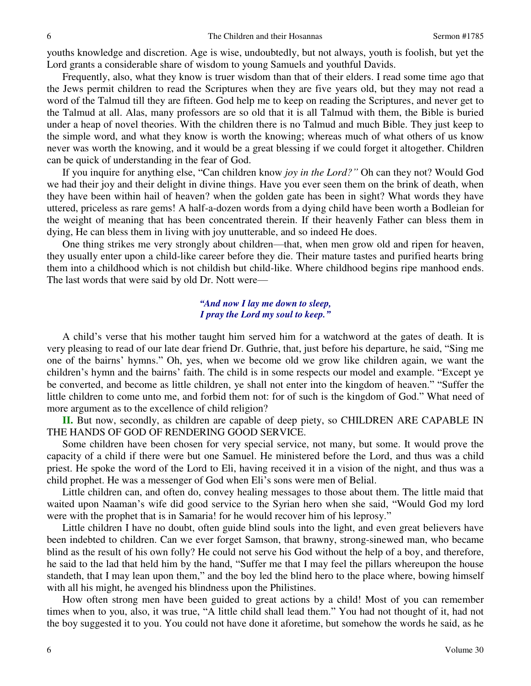youths knowledge and discretion. Age is wise, undoubtedly, but not always, youth is foolish, but yet the Lord grants a considerable share of wisdom to young Samuels and youthful Davids.

 Frequently, also, what they know is truer wisdom than that of their elders. I read some time ago that the Jews permit children to read the Scriptures when they are five years old, but they may not read a word of the Talmud till they are fifteen. God help me to keep on reading the Scriptures, and never get to the Talmud at all. Alas, many professors are so old that it is all Talmud with them, the Bible is buried under a heap of novel theories. With the children there is no Talmud and much Bible. They just keep to the simple word, and what they know is worth the knowing; whereas much of what others of us know never was worth the knowing, and it would be a great blessing if we could forget it altogether. Children can be quick of understanding in the fear of God.

 If you inquire for anything else, "Can children know *joy in the Lord?"* Oh can they not? Would God we had their joy and their delight in divine things. Have you ever seen them on the brink of death, when they have been within hail of heaven? when the golden gate has been in sight? What words they have uttered, priceless as rare gems! A half-a-dozen words from a dying child have been worth a Bodleian for the weight of meaning that has been concentrated therein. If their heavenly Father can bless them in dying, He can bless them in living with joy unutterable, and so indeed He does.

 One thing strikes me very strongly about children—that, when men grow old and ripen for heaven, they usually enter upon a child-like career before they die. Their mature tastes and purified hearts bring them into a childhood which is not childish but child-like. Where childhood begins ripe manhood ends. The last words that were said by old Dr. Nott were—

## *"And now I lay me down to sleep, I pray the Lord my soul to keep."*

A child's verse that his mother taught him served him for a watchword at the gates of death. It is very pleasing to read of our late dear friend Dr. Guthrie, that, just before his departure, he said, "Sing me one of the bairns' hymns." Oh, yes, when we become old we grow like children again, we want the children's hymn and the bairns' faith. The child is in some respects our model and example. "Except ye be converted, and become as little children, ye shall not enter into the kingdom of heaven." "Suffer the little children to come unto me, and forbid them not: for of such is the kingdom of God." What need of more argument as to the excellence of child religion?

**II.** But now, secondly, as children are capable of deep piety, so CHILDREN ARE CAPABLE IN THE HANDS OF GOD OF RENDERING GOOD SERVICE.

 Some children have been chosen for very special service, not many, but some. It would prove the capacity of a child if there were but one Samuel. He ministered before the Lord, and thus was a child priest. He spoke the word of the Lord to Eli, having received it in a vision of the night, and thus was a child prophet. He was a messenger of God when Eli's sons were men of Belial.

 Little children can, and often do, convey healing messages to those about them. The little maid that waited upon Naaman's wife did good service to the Syrian hero when she said, "Would God my lord were with the prophet that is in Samaria! for he would recover him of his leprosy."

 Little children I have no doubt, often guide blind souls into the light, and even great believers have been indebted to children. Can we ever forget Samson, that brawny, strong-sinewed man, who became blind as the result of his own folly? He could not serve his God without the help of a boy, and therefore, he said to the lad that held him by the hand, "Suffer me that I may feel the pillars whereupon the house standeth, that I may lean upon them," and the boy led the blind hero to the place where, bowing himself with all his might, he avenged his blindness upon the Philistines.

 How often strong men have been guided to great actions by a child! Most of you can remember times when to you, also, it was true, "A little child shall lead them." You had not thought of it, had not the boy suggested it to you. You could not have done it aforetime, but somehow the words he said, as he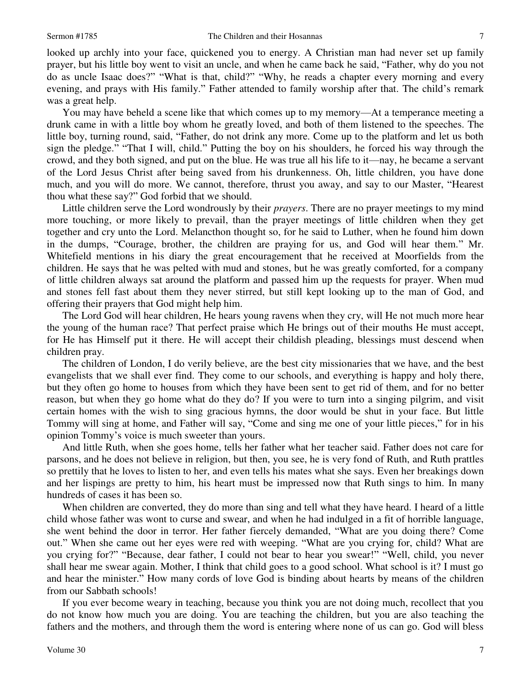looked up archly into your face, quickened you to energy. A Christian man had never set up family prayer, but his little boy went to visit an uncle, and when he came back he said, "Father, why do you not do as uncle Isaac does?" "What is that, child?" "Why, he reads a chapter every morning and every evening, and prays with His family." Father attended to family worship after that. The child's remark was a great help.

 You may have beheld a scene like that which comes up to my memory—At a temperance meeting a drunk came in with a little boy whom he greatly loved, and both of them listened to the speeches. The little boy, turning round, said, "Father, do not drink any more. Come up to the platform and let us both sign the pledge." "That I will, child." Putting the boy on his shoulders, he forced his way through the crowd, and they both signed, and put on the blue. He was true all his life to it—nay, he became a servant of the Lord Jesus Christ after being saved from his drunkenness. Oh, little children, you have done much, and you will do more. We cannot, therefore, thrust you away, and say to our Master, "Hearest thou what these say?" God forbid that we should.

 Little children serve the Lord wondrously by their *prayers*. There are no prayer meetings to my mind more touching, or more likely to prevail, than the prayer meetings of little children when they get together and cry unto the Lord. Melancthon thought so, for he said to Luther, when he found him down in the dumps, "Courage, brother, the children are praying for us, and God will hear them." Mr. Whitefield mentions in his diary the great encouragement that he received at Moorfields from the children. He says that he was pelted with mud and stones, but he was greatly comforted, for a company of little children always sat around the platform and passed him up the requests for prayer. When mud and stones fell fast about them they never stirred, but still kept looking up to the man of God, and offering their prayers that God might help him.

 The Lord God will hear children, He hears young ravens when they cry, will He not much more hear the young of the human race? That perfect praise which He brings out of their mouths He must accept, for He has Himself put it there. He will accept their childish pleading, blessings must descend when children pray.

 The children of London, I do verily believe, are the best city missionaries that we have, and the best evangelists that we shall ever find. They come to our schools, and everything is happy and holy there, but they often go home to houses from which they have been sent to get rid of them, and for no better reason, but when they go home what do they do? If you were to turn into a singing pilgrim, and visit certain homes with the wish to sing gracious hymns, the door would be shut in your face. But little Tommy will sing at home, and Father will say, "Come and sing me one of your little pieces," for in his opinion Tommy's voice is much sweeter than yours.

 And little Ruth, when she goes home, tells her father what her teacher said. Father does not care for parsons, and he does not believe in religion, but then, you see, he is very fond of Ruth, and Ruth prattles so prettily that he loves to listen to her, and even tells his mates what she says. Even her breakings down and her lispings are pretty to him, his heart must be impressed now that Ruth sings to him. In many hundreds of cases it has been so.

 When children are converted, they do more than sing and tell what they have heard. I heard of a little child whose father was wont to curse and swear, and when he had indulged in a fit of horrible language, she went behind the door in terror. Her father fiercely demanded, "What are you doing there? Come out." When she came out her eyes were red with weeping. "What are you crying for, child? What are you crying for?" "Because, dear father, I could not bear to hear you swear!" "Well, child, you never shall hear me swear again. Mother, I think that child goes to a good school. What school is it? I must go and hear the minister." How many cords of love God is binding about hearts by means of the children from our Sabbath schools!

 If you ever become weary in teaching, because you think you are not doing much, recollect that you do not know how much you are doing. You are teaching the children, but you are also teaching the fathers and the mothers, and through them the word is entering where none of us can go. God will bless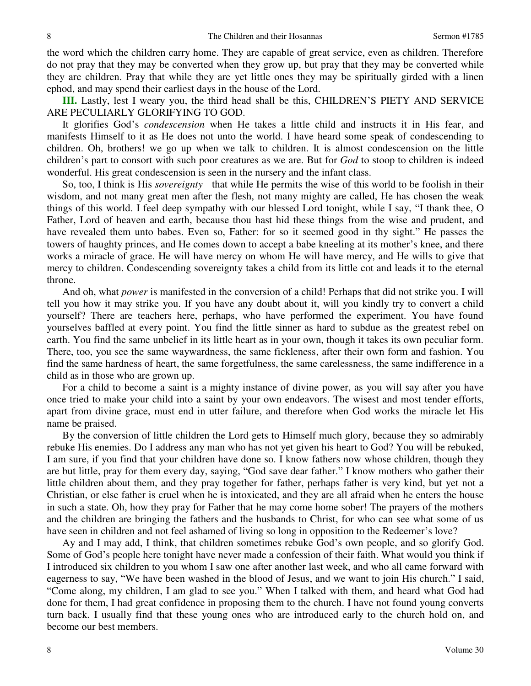the word which the children carry home. They are capable of great service, even as children. Therefore do not pray that they may be converted when they grow up, but pray that they may be converted while they are children. Pray that while they are yet little ones they may be spiritually girded with a linen ephod, and may spend their earliest days in the house of the Lord.

**III.** Lastly, lest I weary you, the third head shall be this, CHILDREN'S PIETY AND SERVICE ARE PECULIARLY GLORIFYING TO GOD.

 It glorifies God's *condescension* when He takes a little child and instructs it in His fear, and manifests Himself to it as He does not unto the world. I have heard some speak of condescending to children. Oh, brothers! we go up when we talk to children. It is almost condescension on the little children's part to consort with such poor creatures as we are. But for *God* to stoop to children is indeed wonderful. His great condescension is seen in the nursery and the infant class.

 So, too, I think is His *sovereignty—*that while He permits the wise of this world to be foolish in their wisdom, and not many great men after the flesh, not many mighty are called, He has chosen the weak things of this world. I feel deep sympathy with our blessed Lord tonight, while I say, "I thank thee, O Father, Lord of heaven and earth, because thou hast hid these things from the wise and prudent, and have revealed them unto babes. Even so, Father: for so it seemed good in thy sight." He passes the towers of haughty princes, and He comes down to accept a babe kneeling at its mother's knee, and there works a miracle of grace. He will have mercy on whom He will have mercy, and He wills to give that mercy to children. Condescending sovereignty takes a child from its little cot and leads it to the eternal throne.

 And oh, what *power* is manifested in the conversion of a child! Perhaps that did not strike you. I will tell you how it may strike you. If you have any doubt about it, will you kindly try to convert a child yourself? There are teachers here, perhaps, who have performed the experiment. You have found yourselves baffled at every point. You find the little sinner as hard to subdue as the greatest rebel on earth. You find the same unbelief in its little heart as in your own, though it takes its own peculiar form. There, too, you see the same waywardness, the same fickleness, after their own form and fashion. You find the same hardness of heart, the same forgetfulness, the same carelessness, the same indifference in a child as in those who are grown up.

 For a child to become a saint is a mighty instance of divine power, as you will say after you have once tried to make your child into a saint by your own endeavors. The wisest and most tender efforts, apart from divine grace, must end in utter failure, and therefore when God works the miracle let His name be praised.

 By the conversion of little children the Lord gets to Himself much glory, because they so admirably rebuke His enemies. Do I address any man who has not yet given his heart to God? You will be rebuked, I am sure, if you find that your children have done so. I know fathers now whose children, though they are but little, pray for them every day, saying, "God save dear father." I know mothers who gather their little children about them, and they pray together for father, perhaps father is very kind, but yet not a Christian, or else father is cruel when he is intoxicated, and they are all afraid when he enters the house in such a state. Oh, how they pray for Father that he may come home sober! The prayers of the mothers and the children are bringing the fathers and the husbands to Christ, for who can see what some of us have seen in children and not feel ashamed of living so long in opposition to the Redeemer's love?

Ay and I may add, I think, that children sometimes rebuke God's own people, and so glorify God. Some of God's people here tonight have never made a confession of their faith. What would you think if I introduced six children to you whom I saw one after another last week, and who all came forward with eagerness to say, "We have been washed in the blood of Jesus, and we want to join His church." I said, "Come along, my children, I am glad to see you." When I talked with them, and heard what God had done for them, I had great confidence in proposing them to the church. I have not found young converts turn back. I usually find that these young ones who are introduced early to the church hold on, and become our best members.